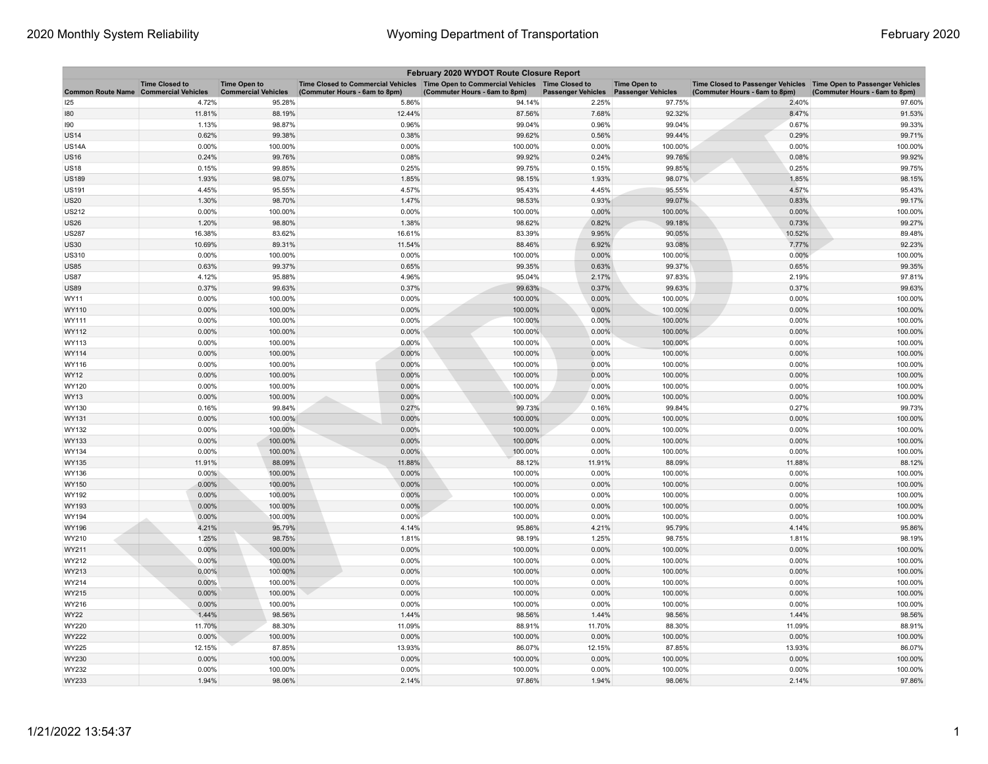| February 2020 WYDOT Route Closure Report     |                       |                                                   |                                                                                                                       |                               |                                        |                     |                                                                                                    |                               |  |
|----------------------------------------------|-----------------------|---------------------------------------------------|-----------------------------------------------------------------------------------------------------------------------|-------------------------------|----------------------------------------|---------------------|----------------------------------------------------------------------------------------------------|-------------------------------|--|
| <b>Common Route Name Commercial Vehicles</b> | <b>Time Closed to</b> | <b>Time Open to</b><br><b>Commercial Vehicles</b> | Time Closed to Commercial Vehicles  Time Open to Commercial Vehicles  Time Closed to<br>(Commuter Hours - 6am to 8pm) | (Commuter Hours - 6am to 8pm) | Passenger Vehicles  Passenger Vehicles | <b>Time Open to</b> | Time Closed to Passenger Vehicles Time Open to Passenger Vehicles<br>(Commuter Hours - 6am to 8pm) | (Commuter Hours - 6am to 8pm) |  |
| 125                                          | 4.72%                 | 95.28%                                            | 5.86%                                                                                                                 | 94.14%                        | 2.25%                                  | 97.75%              | 2.40%                                                                                              | 97.60%                        |  |
| 180                                          | 11.81%                | 88.19%                                            | 12.44%                                                                                                                | 87.56%                        | 7.68%                                  | 92.32%              | 8.47%                                                                                              | 91.53%                        |  |
| 190                                          | 1.13%                 | 98.87%                                            | 0.96%                                                                                                                 | 99.04%                        | 0.96%                                  | 99.04%              | 0.67%                                                                                              | 99.33%                        |  |
| <b>US14</b>                                  | 0.62%                 | 99.38%                                            | 0.38%                                                                                                                 | 99.62%                        | 0.56%                                  | 99.44%              | 0.29%                                                                                              | 99.71%                        |  |
| <b>US14A</b>                                 | 0.00%                 | 100.00%                                           | 0.00%                                                                                                                 | 100.00%                       | 0.00%                                  | 100.00%             | 0.00%                                                                                              | 100.00%                       |  |
| US16                                         | 0.24%                 | 99.76%                                            | 0.08%                                                                                                                 | 99.92%                        | 0.24%                                  | 99.76%              | 0.08%                                                                                              | 99.92%                        |  |
| <b>US18</b>                                  | 0.15%                 | 99.85%                                            | 0.25%                                                                                                                 | 99.75%                        | 0.15%                                  | 99.85%              | 0.25%                                                                                              | 99.75%                        |  |
| <b>US189</b>                                 | 1.93%                 | 98.07%                                            | 1.85%                                                                                                                 | 98.15%                        | 1.93%                                  | 98.07%              | 1.85%                                                                                              | 98.15%                        |  |
| US191                                        | 4.45%                 | 95.55%                                            | 4.57%                                                                                                                 | 95.43%                        | 4.45%                                  | 95.55%              | 4.57%                                                                                              | 95.43%                        |  |
| US20                                         | 1.30%                 | 98.70%                                            | 1.47%                                                                                                                 | 98.53%                        | 0.93%                                  | 99.07%              | 0.83%                                                                                              | 99.17%                        |  |
| US212                                        | 0.00%                 | 100.00%                                           | 0.00%                                                                                                                 | 100.00%                       | 0.00%                                  | 100.00%             | 0.00%                                                                                              | 100.00%                       |  |
| <b>US26</b>                                  | 1.20%                 | 98.80%                                            | 1.38%                                                                                                                 | 98.62%                        | 0.82%                                  | 99.18%              | 0.73%                                                                                              | 99.27%                        |  |
| <b>US287</b>                                 | 16.38%                | 83.62%                                            | 16.61%                                                                                                                | 83.39%                        | 9.95%                                  | 90.05%              | 10.52%                                                                                             | 89.48%                        |  |
| <b>US30</b>                                  | 10.69%                | 89.31%                                            | 11.54%                                                                                                                | 88.46%                        | 6.92%                                  | 93.08%              | 7.77%                                                                                              | 92.23%                        |  |
| US310                                        | 0.00%                 | 100.00%                                           | 0.00%                                                                                                                 | 100.00%                       | 0.00%                                  | 100.00%             | 0.00%                                                                                              | 100.00%                       |  |
| <b>US85</b>                                  | 0.63%                 | 99.37%                                            | 0.65%                                                                                                                 | 99.35%                        | 0.63%                                  | 99.37%              | 0.65%                                                                                              | 99.35%                        |  |
| US87                                         | 4.12%                 | 95.88%                                            | 4.96%                                                                                                                 | 95.04%                        | 2.17%                                  | 97.83%              | 2.19%                                                                                              | 97.81%                        |  |
| <b>US89</b>                                  | 0.37%                 | 99.63%                                            | 0.37%                                                                                                                 | 99.63%                        | 0.37%                                  | 99.63%              | 0.37%                                                                                              | 99.63%                        |  |
| <b>WY11</b>                                  | 0.00%                 | 100.00%                                           | 0.00%                                                                                                                 | 100.00%                       | 0.00%                                  | 100.00%             | 0.00%                                                                                              | 100.00%                       |  |
| WY110                                        | 0.00%                 | 100.00%                                           | 0.00%                                                                                                                 | 100.00%                       | 0.00%                                  | 100.00%             | 0.00%                                                                                              | 100.00%                       |  |
| WY111                                        | 0.00%                 | 100.00%                                           | 0.00%                                                                                                                 | 100.00%                       | 0.00%                                  | 100.00%             | 0.00%                                                                                              | 100.00%                       |  |
| <b>WY112</b>                                 | 0.00%                 | 100.00%                                           | 0.00%                                                                                                                 | 100.00%                       | 0.00%                                  | 100.00%             | 0.00%                                                                                              | 100.00%                       |  |
| WY113                                        | 0.00%                 | 100.00%                                           | 0.00%                                                                                                                 | 100.00%                       | 0.00%                                  | 100.00%             | 0.00%                                                                                              | 100.00%                       |  |
| WY114                                        | 0.00%                 | 100.00%                                           | 0.00%                                                                                                                 | 100.00%                       | 0.00%                                  | 100.00%             | 0.00%                                                                                              | 100.00%                       |  |
| WY116                                        | 0.00%                 | 100.00%                                           | 0.00%                                                                                                                 | 100.00%                       | 0.00%                                  | 100.00%             | 0.00%                                                                                              | 100.00%                       |  |
| <b>WY12</b>                                  | 0.00%                 | 100.00%                                           | 0.00%                                                                                                                 | 100.00%                       | 0.00%                                  | 100.00%             | 0.00%                                                                                              | 100.00%                       |  |
| WY120                                        | 0.00%                 | 100.00%                                           | 0.00%                                                                                                                 | 100.00%                       | 0.00%                                  | 100.00%             | 0.00%                                                                                              | 100.00%                       |  |
| WY13                                         | 0.00%                 | 100.00%                                           | 0.00%                                                                                                                 | 100.00%                       | 0.00%                                  | 100.00%             | 0.00%                                                                                              | 100.00%                       |  |
| WY130                                        | 0.16%                 | 99.84%                                            | 0.27%                                                                                                                 | 99.73%                        | 0.16%                                  | 99.84%              | 0.27%                                                                                              | 99.73%                        |  |
| WY131                                        | 0.00%                 | 100.00%                                           | 0.00%                                                                                                                 | 100.00%                       | 0.00%                                  | 100.00%             | 0.00%                                                                                              | 100.00%                       |  |
| WY132                                        | 0.00%                 | 100.00%                                           | 0.00%                                                                                                                 | 100.00%                       | 0.00%                                  | 100.00%             | 0.00%                                                                                              | 100.00%                       |  |
| WY133                                        | 0.00%                 | 100.00%                                           | 0.00%                                                                                                                 | 100.00%                       | 0.00%                                  | 100.00%             | 0.00%                                                                                              | 100.00%                       |  |
| WY134                                        | 0.00%                 | 100.00%                                           | 0.00%                                                                                                                 | 100.00%                       | 0.00%                                  | 100.00%             | 0.00%                                                                                              | 100.00%                       |  |
| WY135                                        | 11.91%                | 88.09%                                            | 11.88%                                                                                                                | 88.12%                        | 11.91%                                 | 88.09%              | 11.88%                                                                                             | 88.12%                        |  |
| WY136                                        | $0.00\%$              | 100.00%                                           | 0.00%                                                                                                                 | 100.00%                       | 0.00%                                  | 100.00%             | 0.00%                                                                                              | 100.00%                       |  |
| WY150                                        | 0.00%                 | 100.00%                                           | 0.00%                                                                                                                 | 100.00%                       | 0.00%                                  | 100.00%             | 0.00%                                                                                              | 100.00%                       |  |
| WY192                                        | 0.00%                 | 100.00%                                           | 0.00%                                                                                                                 | 100.00%                       | 0.00%                                  | 100.00%             | 0.00%                                                                                              | 100.00%                       |  |
| WY193                                        | 0.00%                 | 100.00%                                           | 0.00%                                                                                                                 | 100.00%                       | 0.00%                                  | 100.00%             | 0.00%                                                                                              | 100.00%                       |  |
| WY194                                        | 0.00%                 | 100.00%                                           | 0.00%                                                                                                                 | 100.00%                       | 0.00%                                  | 100.00%             | 0.00%                                                                                              | 100.00%                       |  |
| WY196                                        | 4.21%                 | 95.79%                                            | 4.14%                                                                                                                 | 95.86%                        | 4.21%                                  | 95.79%              | 4.14%                                                                                              | 95.86%                        |  |
| WY210                                        | 1.25%                 | 98.75%                                            | 1.81%                                                                                                                 | 98.19%                        | 1.25%                                  | 98.75%              | 1.81%                                                                                              | 98.19%                        |  |
| WY211                                        | 0.00%                 | 100.00%                                           | 0.00%                                                                                                                 | 100.00%                       | 0.00%                                  | 100.00%             | 0.00%                                                                                              | 100.00%                       |  |
| WY212                                        | 0.00%                 | 100.00%                                           | 0.00%                                                                                                                 | 100.00%                       | 0.00%                                  | 100.00%             | 0.00%                                                                                              | 100.00%                       |  |
| WY213                                        | 0.00%                 | 100.00%                                           | 0.00%                                                                                                                 | 100.00%                       | 0.00%                                  | 100.00%             | 0.00%                                                                                              | 100.00%                       |  |
| WY214                                        | 0.00%                 | 100.00%                                           | 0.00%                                                                                                                 | 100.00%                       | 0.00%                                  | 100.00%             | 0.00%                                                                                              | 100.00%                       |  |
| WY215                                        | 0.00%                 | 100.00%                                           | 0.00%                                                                                                                 | 100.00%                       | 0.00%                                  | 100.00%             | 0.00%                                                                                              | 100.00%                       |  |
| WY216                                        | 0.00%                 | 100.00%                                           | 0.00%                                                                                                                 | 100.00%                       | 0.00%                                  | 100.00%             | 0.00%                                                                                              | 100.00%                       |  |
| WY22                                         | 1.44%                 | 98.56%                                            | 1.44%                                                                                                                 | 98.56%                        | 1.44%                                  | 98.56%              | 1.44%                                                                                              | 98.56%                        |  |
| WY220                                        | 11.70%                | 88.30%                                            | 11.09%                                                                                                                | 88.91%                        | 11.70%                                 | 88.30%              | 11.09%                                                                                             | 88.91%                        |  |
| WY222                                        | 0.00%                 | 100.00%                                           | 0.00%                                                                                                                 | 100.00%                       | 0.00%                                  | 100.00%             | 0.00%                                                                                              | 100.00%                       |  |
| WY225                                        | 12.15%                | 87.85%                                            | 13.93%                                                                                                                | 86.07%                        | 12.15%                                 | 87.85%              | 13.93%                                                                                             | 86.07%                        |  |
| WY230                                        | 0.00%                 | 100.00%                                           | 0.00%                                                                                                                 | 100.00%                       | 0.00%                                  | 100.00%             | 0.00%                                                                                              | 100.00%                       |  |
| WY232                                        | 0.00%                 | 100.00%                                           | 0.00%                                                                                                                 | 100.00%                       | 0.00%                                  | 100.00%             | 0.00%                                                                                              | 100.00%                       |  |
| WY233                                        | 1.94%                 | 98.06%                                            | 2.14%                                                                                                                 | 97.86%                        | 1.94%                                  | 98.06%              | 2.14%                                                                                              | 97.86%                        |  |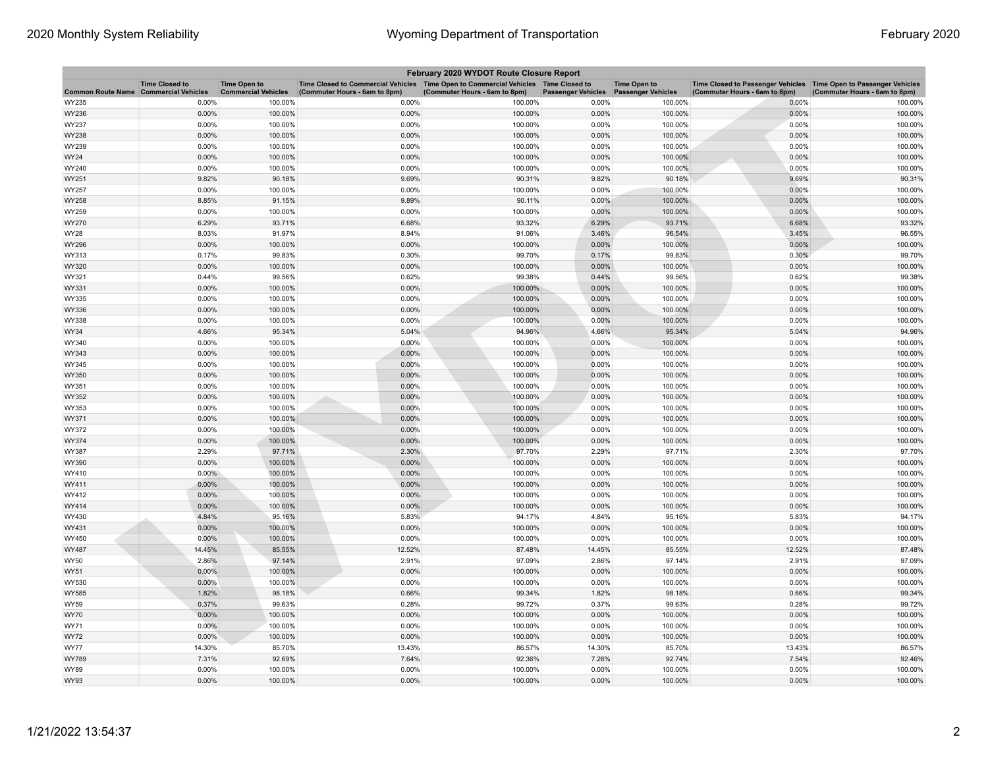| February 2020 WYDOT Route Closure Report     |                       |                                                   |                                                                                                                       |                               |                           |                                                  |                                                                                                    |                               |  |
|----------------------------------------------|-----------------------|---------------------------------------------------|-----------------------------------------------------------------------------------------------------------------------|-------------------------------|---------------------------|--------------------------------------------------|----------------------------------------------------------------------------------------------------|-------------------------------|--|
| <b>Common Route Name Commercial Vehicles</b> | <b>Time Closed to</b> | <b>Time Open to</b><br><b>Commercial Vehicles</b> | Time Closed to Commercial Vehicles  Time Open to Commercial Vehicles  Time Closed to<br>(Commuter Hours - 6am to 8pm) | (Commuter Hours - 6am to 8pm) | <b>Passenger Vehicles</b> | <b>Time Open to</b><br><b>Passenger Vehicles</b> | Time Closed to Passenger Vehicles Time Open to Passenger Vehicles<br>(Commuter Hours - 6am to 8pm) | (Commuter Hours - 6am to 8pm) |  |
| WY235                                        | 0.00%                 | 100.00%                                           | 0.00%                                                                                                                 | 100.00%                       | 0.00%                     | 100.00%                                          | 0.00%                                                                                              | 100.00%                       |  |
| WY236                                        | 0.00%                 | 100.00%                                           | 0.00%                                                                                                                 | 100.00%                       | 0.00%                     | 100.00%                                          | 0.00%                                                                                              | 100.00%                       |  |
| WY237                                        | 0.00%                 | 100.00%                                           | 0.00%                                                                                                                 | 100.00%                       | 0.00%                     | 100.00%                                          | 0.00%                                                                                              | 100.00%                       |  |
| WY238                                        | 0.00%                 | 100.00%                                           | 0.00%                                                                                                                 | 100.00%                       | 0.00%                     | 100.00%                                          | 0.00%                                                                                              | 100.00%                       |  |
| WY239                                        | 0.00%                 | 100.00%                                           | 0.00%                                                                                                                 | 100.00%                       | 0.00%                     | 100.00%                                          | 0.00%                                                                                              | 100.00%                       |  |
| WY24                                         | 0.00%                 | 100.00%                                           | 0.00%                                                                                                                 | 100.00%                       | 0.00%                     | 100.00%                                          | 0.00%                                                                                              | 100.00%                       |  |
| WY240                                        | 0.00%                 | 100.00%                                           | 0.00%                                                                                                                 | 100.00%                       | 0.00%                     | 100.00%                                          | 0.00%                                                                                              | 100.00%                       |  |
| WY251                                        | 9.82%                 | 90.18%                                            | 9.69%                                                                                                                 | 90.31%                        | 9.82%                     | 90.18%                                           | 9.69%                                                                                              | 90.31%                        |  |
| WY257                                        | 0.00%                 | 100.00%                                           | 0.00%                                                                                                                 | 100.00%                       | 0.00%                     | 100.00%                                          | 0.00%                                                                                              | 100.00%                       |  |
| WY258                                        | 8.85%                 | 91.15%                                            | 9.89%                                                                                                                 | 90.11%                        | 0.00%                     | 100.00%                                          | 0.00%                                                                                              | 100.00%                       |  |
| WY259                                        | 0.00%                 | 100.00%                                           | 0.00%                                                                                                                 | 100.00%                       | 0.00%                     | 100.00%                                          | 0.00%                                                                                              | 100.00%                       |  |
| WY270                                        | 6.29%                 | 93.71%                                            | 6.68%                                                                                                                 | 93.32%                        | 6.29%                     | 93.71%                                           | 6.68%                                                                                              | 93.32%                        |  |
| WY28                                         | 8.03%                 | 91.97%                                            | 8.94%                                                                                                                 | 91.06%                        | 3.46%                     | 96.54%                                           | 3.45%                                                                                              | 96.55%                        |  |
| WY296                                        | 0.00%                 | 100.00%                                           | 0.00%                                                                                                                 | 100.00%                       | 0.00%                     | 100.00%                                          | 0.00%                                                                                              | 100.00%                       |  |
| WY313                                        | 0.17%                 | 99.83%                                            | 0.30%                                                                                                                 | 99.70%                        | 0.17%                     | 99.83%                                           | 0.30%                                                                                              | 99.70%                        |  |
| WY320                                        | 0.00%                 | 100.00%                                           | 0.00%                                                                                                                 | 100.00%                       | 0.00%                     | 100.00%                                          | 0.00%                                                                                              | 100.00%                       |  |
| WY321                                        | 0.44%                 | 99.56%                                            | 0.62%                                                                                                                 | 99.38%                        | 0.44%                     | 99.56%                                           | 0.62%                                                                                              | 99.38%                        |  |
| WY331                                        | 0.00%                 | 100.00%                                           | 0.00%                                                                                                                 | 100.00%                       | 0.00%                     | 100.00%                                          | $0.00\%$                                                                                           | 100.00%                       |  |
| WY335                                        | 0.00%                 | 100.00%                                           | 0.00%                                                                                                                 | 100.00%                       | 0.00%                     | 100.00%                                          | 0.00%                                                                                              | 100.00%                       |  |
| WY336                                        | 0.00%                 | 100.00%                                           | 0.00%                                                                                                                 | 100.00%                       | 0.00%                     | 100.00%                                          | 0.00%                                                                                              | 100.00%                       |  |
| WY338                                        | 0.00%                 | 100.00%                                           | 0.00%                                                                                                                 | 100.00%                       | 0.00%                     | 100.00%                                          | 0.00%                                                                                              | 100.00%                       |  |
| WY34                                         | 4.66%                 | 95.34%                                            | 5.04%                                                                                                                 | 94.96%                        | 4.66%                     | 95.34%                                           | 5.04%                                                                                              | 94.96%                        |  |
| WY340                                        | 0.00%                 | 100.00%                                           | 0.00%                                                                                                                 | 100.00%                       | 0.00%                     | 100.00%                                          | 0.00%                                                                                              | 100.00%                       |  |
| WY343                                        | 0.00%                 | 100.00%                                           | 0.00%                                                                                                                 | 100.00%                       | 0.00%                     | 100.00%                                          | 0.00%                                                                                              | 100.00%                       |  |
| WY345                                        | 0.00%                 | 100.00%                                           | 0.00%                                                                                                                 | 100.00%                       | 0.00%                     | 100.00%                                          | 0.00%                                                                                              | 100.00%                       |  |
| WY350                                        | 0.00%                 | 100.00%                                           | 0.00%                                                                                                                 | 100.00%                       | 0.00%                     | 100.00%                                          | 0.00%                                                                                              | 100.00%                       |  |
| WY351                                        | 0.00%                 | 100.00%                                           | 0.00%                                                                                                                 | 100.00%                       | 0.00%                     | 100.00%                                          | 0.00%                                                                                              | 100.00%                       |  |
| WY352                                        | 0.00%                 | 100.00%                                           | 0.00%                                                                                                                 | 100.00%                       | 0.00%                     | 100.00%                                          | 0.00%                                                                                              | 100.00%                       |  |
| WY353                                        | 0.00%                 | 100.00%                                           | 0.00%                                                                                                                 | 100.00%                       | 0.00%                     | 100.00%                                          | 0.00%                                                                                              | 100.00%                       |  |
| WY371                                        | 0.00%                 | 100.00%                                           | 0.00%                                                                                                                 | 100.00%                       | 0.00%                     | 100.00%                                          | 0.00%                                                                                              | 100.00%                       |  |
| WY372                                        | 0.00%                 | 100.00%                                           | 0.00%                                                                                                                 | 100.00%                       | 0.00%                     | 100.00%                                          | 0.00%                                                                                              | 100.00%                       |  |
| WY374                                        | 0.00%                 | 100.00%                                           | 0.00%                                                                                                                 | 100.00%                       | 0.00%                     | 100.00%                                          | 0.00%                                                                                              | 100.00%                       |  |
| WY387                                        | 2.29%                 | 97.71%                                            | 2.30%                                                                                                                 | 97.70%                        | 2.29%                     | 97.71%                                           | 2.30%                                                                                              | 97.70%                        |  |
| WY390                                        | 0.00%                 | 100.00%                                           | 0.00%                                                                                                                 | 100.00%                       | 0.00%                     | 100.00%                                          | 0.00%                                                                                              | 100.00%                       |  |
| WY410                                        | $0.00\%$              | 100.00%                                           | 0.00%                                                                                                                 | 100.00%                       | 0.00%                     | 100.00%                                          | 0.00%                                                                                              | 100.00%                       |  |
| WY411                                        | 0.00%                 | 100.00%                                           | 0.00%                                                                                                                 | 100.00%                       | 0.00%                     | 100.00%                                          | 0.00%                                                                                              | 100.00%                       |  |
| WY412                                        | 0.00%                 | 100.00%                                           | 0.00%                                                                                                                 | 100.00%                       | 0.00%                     | 100.00%                                          | 0.00%                                                                                              | 100.00%                       |  |
| WY414                                        | 0.00%                 | 100.00%                                           | 0.00%                                                                                                                 | 100.00%                       | 0.00%                     | 100.00%                                          | 0.00%                                                                                              | 100.00%                       |  |
| WY430                                        | 4.84%                 | 95.16%                                            | 5.83%                                                                                                                 | 94.17%                        | 4.84%                     | 95.16%                                           | 5.83%                                                                                              | 94.17%                        |  |
| WY431                                        | 0.00%                 | 100.00%                                           | 0.00%                                                                                                                 | 100.00%                       | 0.00%                     | 100.00%                                          | 0.00%                                                                                              | 100.00%                       |  |
| WY450                                        | 0.00%                 | 100.00%                                           | 0.00%                                                                                                                 | 100.00%                       | 0.00%                     | 100.00%                                          | 0.00%                                                                                              | 100.00%                       |  |
| WY487                                        | 14.45%                | 85.55%                                            | 12.52%                                                                                                                | 87.48%                        | 14.45%                    | 85.55%                                           | 12.52%                                                                                             | 87.48%                        |  |
| WY50                                         | 2.86%                 | 97.14%                                            | 2.91%                                                                                                                 | 97.09%                        | 2.86%                     | 97.14%                                           | 2.91%                                                                                              | 97.09%                        |  |
| WY51                                         | 0.00%                 | 100.00%                                           | 0.00%                                                                                                                 | 100.00%                       | 0.00%                     | 100.00%                                          | 0.00%                                                                                              | 100.00%                       |  |
| WY530                                        | 0.00%                 | 100.00%                                           | 0.00%                                                                                                                 | 100.00%                       | 0.00%                     | 100.00%                                          | 0.00%                                                                                              | 100.00%                       |  |
| WY585                                        | 1.82%                 | 98.18%                                            | 0.66%                                                                                                                 | 99.34%                        | 1.82%                     | 98.18%                                           | 0.66%                                                                                              | 99.34%                        |  |
| WY59                                         | 0.37%                 | 99.63%                                            | 0.28%                                                                                                                 | 99.72%                        | 0.37%                     | 99.63%                                           | 0.28%                                                                                              | 99.72%                        |  |
| WY70                                         | 0.00%                 | 100.00%                                           | 0.00%                                                                                                                 | 100.00%                       | 0.00%                     | 100.00%                                          | 0.00%                                                                                              | 100.00%                       |  |
| WY71                                         | 0.00%                 | 100.00%                                           | 0.00%                                                                                                                 | 100.00%                       | 0.00%                     | 100.00%                                          | 0.00%                                                                                              | 100.00%                       |  |
| WY72                                         | 0.00%                 | 100.00%                                           | 0.00%                                                                                                                 | 100.00%                       | 0.00%                     | 100.00%                                          | 0.00%                                                                                              | 100.00%                       |  |
| WY77                                         | 14.30%                | 85.70%                                            | 13.43%                                                                                                                | 86.57%                        | 14.30%                    | 85.70%                                           | 13.43%                                                                                             | 86.57%                        |  |
| WY789                                        | 7.31%                 | 92.69%                                            | 7.64%                                                                                                                 | 92.36%                        | 7.26%                     | 92.74%                                           | 7.54%                                                                                              | 92.46%                        |  |
| WY89                                         | 0.00%                 | 100.00%                                           | 0.00%                                                                                                                 | 100.00%                       | 0.00%                     | 100.00%                                          | 0.00%                                                                                              | 100.00%                       |  |
| WY93                                         | 0.00%                 | 100.00%                                           | 0.00%                                                                                                                 | 100.00%                       | 0.00%                     | 100.00%                                          | 0.00%                                                                                              | 100.00%                       |  |